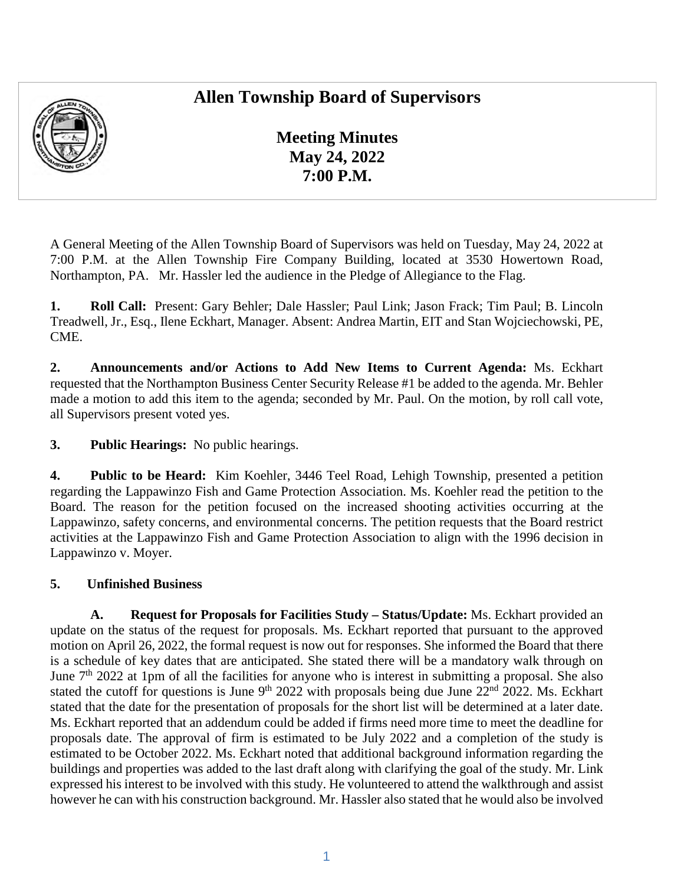## **Allen Township Board of Supervisors**



**Meeting Minutes May 24, 2022 7:00 P.M.** 

A General Meeting of the Allen Township Board of Supervisors was held on Tuesday, May 24, 2022 at 7:00 P.M. at the Allen Township Fire Company Building, located at 3530 Howertown Road, Northampton, PA. Mr. Hassler led the audience in the Pledge of Allegiance to the Flag.

**1. Roll Call:** Present: Gary Behler; Dale Hassler; Paul Link; Jason Frack; Tim Paul; B. Lincoln Treadwell, Jr., Esq., Ilene Eckhart, Manager. Absent: Andrea Martin, EIT and Stan Wojciechowski, PE, CME.

**2. Announcements and/or Actions to Add New Items to Current Agenda:** Ms. Eckhart requested that the Northampton Business Center Security Release #1 be added to the agenda. Mr. Behler made a motion to add this item to the agenda; seconded by Mr. Paul. On the motion, by roll call vote, all Supervisors present voted yes.

**3. Public Hearings:** No public hearings.

**4. Public to be Heard:** Kim Koehler, 3446 Teel Road, Lehigh Township, presented a petition regarding the Lappawinzo Fish and Game Protection Association. Ms. Koehler read the petition to the Board. The reason for the petition focused on the increased shooting activities occurring at the Lappawinzo, safety concerns, and environmental concerns. The petition requests that the Board restrict activities at the Lappawinzo Fish and Game Protection Association to align with the 1996 decision in Lappawinzo v. Moyer.

## **5. Unfinished Business**

**A. Request for Proposals for Facilities Study – Status/Update:** Ms. Eckhart provided an update on the status of the request for proposals. Ms. Eckhart reported that pursuant to the approved motion on April 26, 2022, the formal request is now out for responses. She informed the Board that there is a schedule of key dates that are anticipated. She stated there will be a mandatory walk through on June  $7<sup>th</sup>$  2022 at 1pm of all the facilities for anyone who is interest in submitting a proposal. She also stated the cutoff for questions is June 9<sup>th</sup> 2022 with proposals being due June  $22^{nd}$  2022. Ms. Eckhart stated that the date for the presentation of proposals for the short list will be determined at a later date. Ms. Eckhart reported that an addendum could be added if firms need more time to meet the deadline for proposals date. The approval of firm is estimated to be July 2022 and a completion of the study is estimated to be October 2022. Ms. Eckhart noted that additional background information regarding the buildings and properties was added to the last draft along with clarifying the goal of the study. Mr. Link expressed his interest to be involved with this study. He volunteered to attend the walkthrough and assist however he can with his construction background. Mr. Hassler also stated that he would also be involved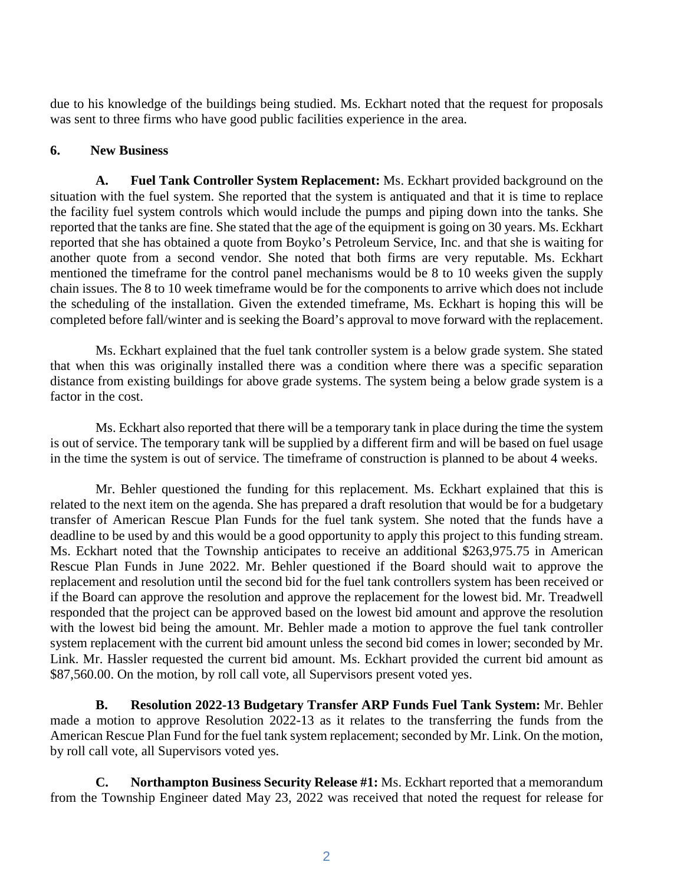due to his knowledge of the buildings being studied. Ms. Eckhart noted that the request for proposals was sent to three firms who have good public facilities experience in the area.

## **6. New Business**

**A. Fuel Tank Controller System Replacement:** Ms. Eckhart provided background on the situation with the fuel system. She reported that the system is antiquated and that it is time to replace the facility fuel system controls which would include the pumps and piping down into the tanks. She reported that the tanks are fine. She stated that the age of the equipment is going on 30 years. Ms. Eckhart reported that she has obtained a quote from Boyko's Petroleum Service, Inc. and that she is waiting for another quote from a second vendor. She noted that both firms are very reputable. Ms. Eckhart mentioned the timeframe for the control panel mechanisms would be 8 to 10 weeks given the supply chain issues. The 8 to 10 week timeframe would be for the components to arrive which does not include the scheduling of the installation. Given the extended timeframe, Ms. Eckhart is hoping this will be completed before fall/winter and is seeking the Board's approval to move forward with the replacement.

Ms. Eckhart explained that the fuel tank controller system is a below grade system. She stated that when this was originally installed there was a condition where there was a specific separation distance from existing buildings for above grade systems. The system being a below grade system is a factor in the cost.

Ms. Eckhart also reported that there will be a temporary tank in place during the time the system is out of service. The temporary tank will be supplied by a different firm and will be based on fuel usage in the time the system is out of service. The timeframe of construction is planned to be about 4 weeks.

Mr. Behler questioned the funding for this replacement. Ms. Eckhart explained that this is related to the next item on the agenda. She has prepared a draft resolution that would be for a budgetary transfer of American Rescue Plan Funds for the fuel tank system. She noted that the funds have a deadline to be used by and this would be a good opportunity to apply this project to this funding stream. Ms. Eckhart noted that the Township anticipates to receive an additional \$263,975.75 in American Rescue Plan Funds in June 2022. Mr. Behler questioned if the Board should wait to approve the replacement and resolution until the second bid for the fuel tank controllers system has been received or if the Board can approve the resolution and approve the replacement for the lowest bid. Mr. Treadwell responded that the project can be approved based on the lowest bid amount and approve the resolution with the lowest bid being the amount. Mr. Behler made a motion to approve the fuel tank controller system replacement with the current bid amount unless the second bid comes in lower; seconded by Mr. Link. Mr. Hassler requested the current bid amount. Ms. Eckhart provided the current bid amount as \$87,560.00. On the motion, by roll call vote, all Supervisors present voted yes.

**B. Resolution 2022-13 Budgetary Transfer ARP Funds Fuel Tank System:** Mr. Behler made a motion to approve Resolution 2022-13 as it relates to the transferring the funds from the American Rescue Plan Fund for the fuel tank system replacement; seconded by Mr. Link. On the motion, by roll call vote, all Supervisors voted yes.

**C. Northampton Business Security Release #1:** Ms. Eckhart reported that a memorandum from the Township Engineer dated May 23, 2022 was received that noted the request for release for